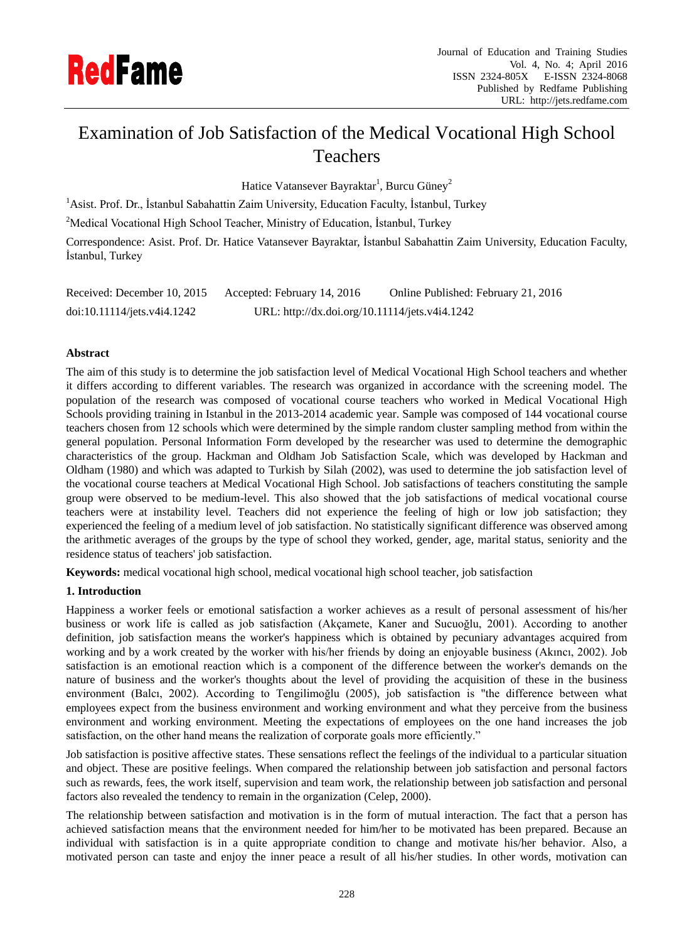

# Examination of Job Satisfaction of the Medical Vocational High School Teachers

Hatice Vatansever Bayraktar<sup>1</sup>, Burcu Güney<sup>2</sup>

<sup>1</sup> Asist. Prof. Dr., İstanbul Sabahattin Zaim University, Education Faculty, İstanbul, Turkey

<sup>2</sup>Medical Vocational High School Teacher, Ministry of Education, İstanbul, Turkey

Correspondence: Asist. Prof. Dr. Hatice Vatansever Bayraktar, İstanbul Sabahattin Zaim University, Education Faculty, İstanbul, Turkey

Received: December 10, 2015 Accepted: February 14, 2016 Online Published: February 21, 2016 doi:10.11114/jets.v4i4.1242 URL: http://dx.doi.org/10.11114/jets.v4i4.1242

## **Abstract**

The aim of this study is to determine the job satisfaction level of Medical Vocational High School teachers and whether it differs according to different variables. The research was organized in accordance with the screening model. The population of the research was composed of vocational course teachers who worked in Medical Vocational High Schools providing training in Istanbul in the 2013-2014 academic year. Sample was composed of 144 vocational course teachers chosen from 12 schools which were determined by the simple random cluster sampling method from within the general population. Personal Information Form developed by the researcher was used to determine the demographic characteristics of the group. Hackman and Oldham Job Satisfaction Scale, which was developed by Hackman and Oldham (1980) and which was adapted to Turkish by Silah (2002), was used to determine the job satisfaction level of the vocational course teachers at Medical Vocational High School. Job satisfactions of teachers constituting the sample group were observed to be medium-level. This also showed that the job satisfactions of medical vocational course teachers were at instability level. Teachers did not experience the feeling of high or low job satisfaction; they experienced the feeling of a medium level of job satisfaction. No statistically significant difference was observed among the arithmetic averages of the groups by the type of school they worked, gender, age, marital status, seniority and the residence status of teachers' job satisfaction.

**Keywords:** medical vocational high school, medical vocational high school teacher, job satisfaction

## **1. Introduction**

Happiness a worker feels or emotional satisfaction a worker achieves as a result of personal assessment of his/her business or work life is called as job satisfaction (Akçamete, Kaner and Sucuoğlu, 2001). According to another definition, job satisfaction means the worker's happiness which is obtained by pecuniary advantages acquired from working and by a work created by the worker with his/her friends by doing an enjoyable business (Akıncı, 2002). Job satisfaction is an emotional reaction which is a component of the difference between the worker's demands on the nature of business and the worker's thoughts about the level of providing the acquisition of these in the business environment (Balcı, 2002). According to Tengilimoğlu (2005), job satisfaction is "the difference between what employees expect from the business environment and working environment and what they perceive from the business environment and working environment. Meeting the expectations of employees on the one hand increases the job satisfaction, on the other hand means the realization of corporate goals more efficiently."

Job satisfaction is positive affective states. These sensations reflect the feelings of the individual to a particular situation and object. These are positive feelings. When compared the relationship between job satisfaction and personal factors such as rewards, fees, the work itself, supervision and team work, the relationship between job satisfaction and personal factors also revealed the tendency to remain in the organization (Celep, 2000).

The relationship between satisfaction and motivation is in the form of mutual interaction. The fact that a person has achieved satisfaction means that the environment needed for him/her to be motivated has been prepared. Because an individual with satisfaction is in a quite appropriate condition to change and motivate his/her behavior. Also, a motivated person can taste and enjoy the inner peace a result of all his/her studies. In other words, motivation can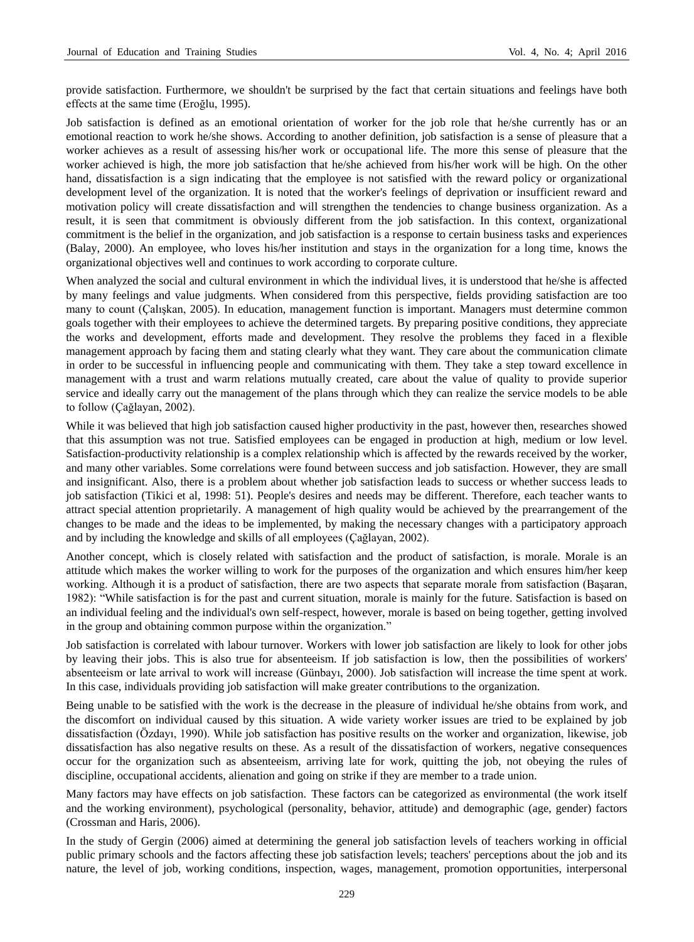provide satisfaction. Furthermore, we shouldn't be surprised by the fact that certain situations and feelings have both effects at the same time (Eroğlu, 1995).

Job satisfaction is defined as an emotional orientation of worker for the job role that he/she currently has or an emotional reaction to work he/she shows. According to another definition, job satisfaction is a sense of pleasure that a worker achieves as a result of assessing his/her work or occupational life. The more this sense of pleasure that the worker achieved is high, the more job satisfaction that he/she achieved from his/her work will be high. On the other hand, dissatisfaction is a sign indicating that the employee is not satisfied with the reward policy or organizational development level of the organization. It is noted that the worker's feelings of deprivation or insufficient reward and motivation policy will create dissatisfaction and will strengthen the tendencies to change business organization. As a result, it is seen that commitment is obviously different from the job satisfaction. In this context, organizational commitment is the belief in the organization, and job satisfaction is a response to certain business tasks and experiences (Balay, 2000). An employee, who loves his/her institution and stays in the organization for a long time, knows the organizational objectives well and continues to work according to corporate culture.

When analyzed the social and cultural environment in which the individual lives, it is understood that he/she is affected by many feelings and value judgments. When considered from this perspective, fields providing satisfaction are too many to count (Çalışkan, 2005). In education, management function is important. Managers must determine common goals together with their employees to achieve the determined targets. By preparing positive conditions, they appreciate the works and development, efforts made and development. They resolve the problems they faced in a flexible management approach by facing them and stating clearly what they want. They care about the communication climate in order to be successful in influencing people and communicating with them. They take a step toward excellence in management with a trust and warm relations mutually created, care about the value of quality to provide superior service and ideally carry out the management of the plans through which they can realize the service models to be able to follow (Çağlayan, 2002).

While it was believed that high job satisfaction caused higher productivity in the past, however then, researches showed that this assumption was not true. Satisfied employees can be engaged in production at high, medium or low level. Satisfaction-productivity relationship is a complex relationship which is affected by the rewards received by the worker, and many other variables. Some correlations were found between success and job satisfaction. However, they are small and insignificant. Also, there is a problem about whether job satisfaction leads to success or whether success leads to job satisfaction (Tikici et al, 1998: 51). People's desires and needs may be different. Therefore, each teacher wants to attract special attention proprietarily. A management of high quality would be achieved by the prearrangement of the changes to be made and the ideas to be implemented, by making the necessary changes with a participatory approach and by including the knowledge and skills of all employees (Çağlayan, 2002).

Another concept, which is closely related with satisfaction and the product of satisfaction, is morale. Morale is an attitude which makes the worker willing to work for the purposes of the organization and which ensures him/her keep working. Although it is a product of satisfaction, there are two aspects that separate morale from satisfaction (Başaran, 1982): "While satisfaction is for the past and current situation, morale is mainly for the future. Satisfaction is based on an individual feeling and the individual's own self-respect, however, morale is based on being together, getting involved in the group and obtaining common purpose within the organization."

Job satisfaction is correlated with labour turnover. Workers with lower job satisfaction are likely to look for other jobs by leaving their jobs. This is also true for absenteeism. If job satisfaction is low, then the possibilities of workers' absenteeism or late arrival to work will increase (Günbayı, 2000). Job satisfaction will increase the time spent at work. In this case, individuals providing job satisfaction will make greater contributions to the organization.

Being unable to be satisfied with the work is the decrease in the pleasure of individual he/she obtains from work, and the discomfort on individual caused by this situation. A wide variety worker issues are tried to be explained by job dissatisfaction (Özdayı, 1990). While job satisfaction has positive results on the worker and organization, likewise, job dissatisfaction has also negative results on these. As a result of the dissatisfaction of workers, negative consequences occur for the organization such as absenteeism, arriving late for work, quitting the job, not obeying the rules of discipline, occupational accidents, alienation and going on strike if they are member to a trade union.

Many factors may have effects on job satisfaction. These factors can be categorized as environmental (the work itself and the working environment), psychological (personality, behavior, attitude) and demographic (age, gender) factors (Crossman and Haris, 2006).

In the study of Gergin (2006) aimed at determining the general job satisfaction levels of teachers working in official public primary schools and the factors affecting these job satisfaction levels; teachers' perceptions about the job and its nature, the level of job, working conditions, inspection, wages, management, promotion opportunities, interpersonal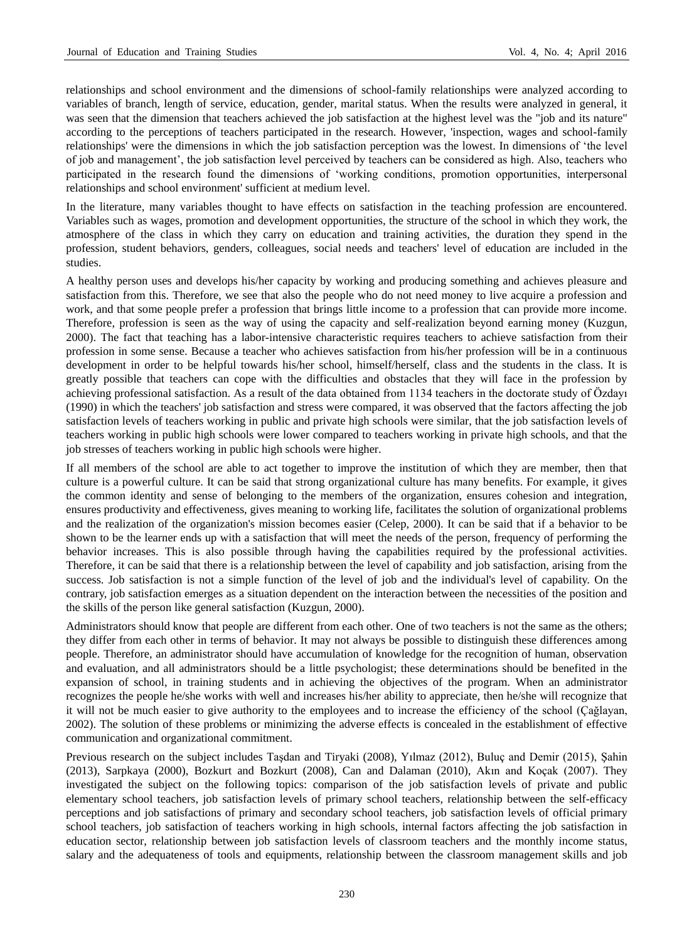relationships and school environment and the dimensions of school-family relationships were analyzed according to variables of branch, length of service, education, gender, marital status. When the results were analyzed in general, it was seen that the dimension that teachers achieved the job satisfaction at the highest level was the "job and its nature" according to the perceptions of teachers participated in the research. However, 'inspection, wages and school-family relationships' were the dimensions in which the job satisfaction perception was the lowest. In dimensions of "the level of job and management", the job satisfaction level perceived by teachers can be considered as high. Also, teachers who participated in the research found the dimensions of "working conditions, promotion opportunities, interpersonal relationships and school environment' sufficient at medium level.

In the literature, many variables thought to have effects on satisfaction in the teaching profession are encountered. Variables such as wages, promotion and development opportunities, the structure of the school in which they work, the atmosphere of the class in which they carry on education and training activities, the duration they spend in the profession, student behaviors, genders, colleagues, social needs and teachers' level of education are included in the studies.

A healthy person uses and develops his/her capacity by working and producing something and achieves pleasure and satisfaction from this. Therefore, we see that also the people who do not need money to live acquire a profession and work, and that some people prefer a profession that brings little income to a profession that can provide more income. Therefore, profession is seen as the way of using the capacity and self-realization beyond earning money (Kuzgun, 2000). The fact that teaching has a labor-intensive characteristic requires teachers to achieve satisfaction from their profession in some sense. Because a teacher who achieves satisfaction from his/her profession will be in a continuous development in order to be helpful towards his/her school, himself/herself, class and the students in the class. It is greatly possible that teachers can cope with the difficulties and obstacles that they will face in the profession by achieving professional satisfaction. As a result of the data obtained from 1134 teachers in the doctorate study of Özdayı (1990) in which the teachers' job satisfaction and stress were compared, it was observed that the factors affecting the job satisfaction levels of teachers working in public and private high schools were similar, that the job satisfaction levels of teachers working in public high schools were lower compared to teachers working in private high schools, and that the job stresses of teachers working in public high schools were higher.

If all members of the school are able to act together to improve the institution of which they are member, then that culture is a powerful culture. It can be said that strong organizational culture has many benefits. For example, it gives the common identity and sense of belonging to the members of the organization, ensures cohesion and integration, ensures productivity and effectiveness, gives meaning to working life, facilitates the solution of organizational problems and the realization of the organization's mission becomes easier (Celep, 2000). It can be said that if a behavior to be shown to be the learner ends up with a satisfaction that will meet the needs of the person, frequency of performing the behavior increases. This is also possible through having the capabilities required by the professional activities. Therefore, it can be said that there is a relationship between the level of capability and job satisfaction, arising from the success. Job satisfaction is not a simple function of the level of job and the individual's level of capability. On the contrary, job satisfaction emerges as a situation dependent on the interaction between the necessities of the position and the skills of the person like general satisfaction (Kuzgun, 2000).

Administrators should know that people are different from each other. One of two teachers is not the same as the others; they differ from each other in terms of behavior. It may not always be possible to distinguish these differences among people. Therefore, an administrator should have accumulation of knowledge for the recognition of human, observation and evaluation, and all administrators should be a little psychologist; these determinations should be benefited in the expansion of school, in training students and in achieving the objectives of the program. When an administrator recognizes the people he/she works with well and increases his/her ability to appreciate, then he/she will recognize that it will not be much easier to give authority to the employees and to increase the efficiency of the school (Çağlayan, 2002). The solution of these problems or minimizing the adverse effects is concealed in the establishment of effective communication and organizational commitment.

Previous research on the subject includes Taşdan and Tiryaki (2008), Yılmaz (2012), Buluç and Demir (2015), Şahin (2013), Sarpkaya (2000), Bozkurt and Bozkurt (2008), Can and Dalaman (2010), Akın and Koçak (2007). They investigated the subject on the following topics: comparison of the job satisfaction levels of private and public elementary school teachers, job satisfaction levels of primary school teachers, relationship between the self-efficacy perceptions and job satisfactions of primary and secondary school teachers, job satisfaction levels of official primary school teachers, job satisfaction of teachers working in high schools, internal factors affecting the job satisfaction in education sector, relationship between job satisfaction levels of classroom teachers and the monthly income status, salary and the adequateness of tools and equipments, relationship between the classroom management skills and job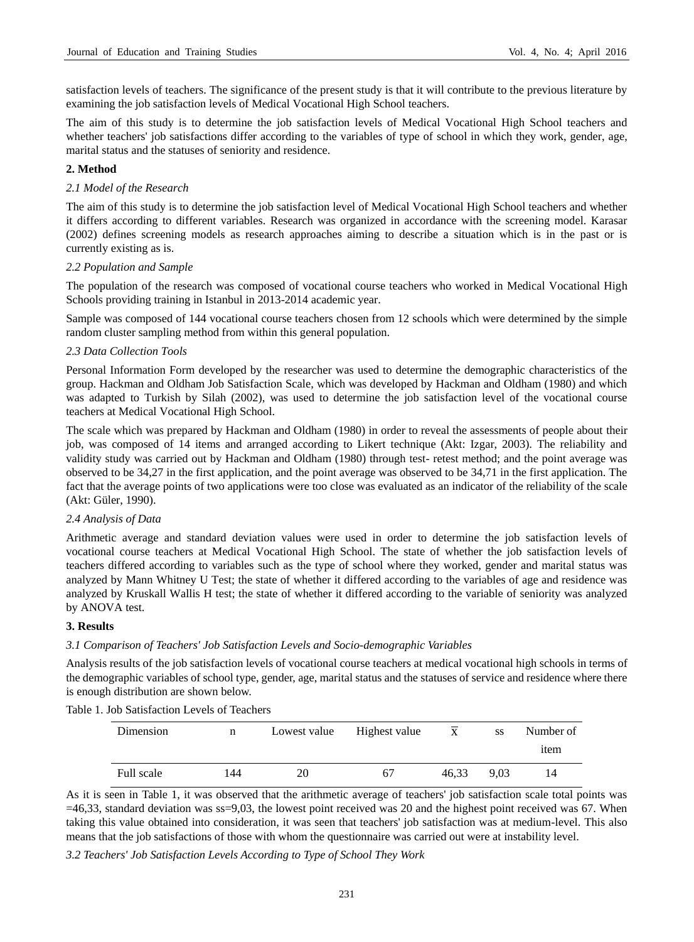satisfaction levels of teachers. The significance of the present study is that it will contribute to the previous literature by examining the job satisfaction levels of Medical Vocational High School teachers.

The aim of this study is to determine the job satisfaction levels of Medical Vocational High School teachers and whether teachers' job satisfactions differ according to the variables of type of school in which they work, gender, age, marital status and the statuses of seniority and residence.

#### **2. Method**

#### *2.1 Model of the Research*

The aim of this study is to determine the job satisfaction level of Medical Vocational High School teachers and whether it differs according to different variables. Research was organized in accordance with the screening model. Karasar (2002) defines screening models as research approaches aiming to describe a situation which is in the past or is currently existing as is.

#### *2.2 Population and Sample*

The population of the research was composed of vocational course teachers who worked in Medical Vocational High Schools providing training in Istanbul in 2013-2014 academic year.

Sample was composed of 144 vocational course teachers chosen from 12 schools which were determined by the simple random cluster sampling method from within this general population.

#### *2.3 Data Collection Tools*

Personal Information Form developed by the researcher was used to determine the demographic characteristics of the group. Hackman and Oldham Job Satisfaction Scale, which was developed by Hackman and Oldham (1980) and which was adapted to Turkish by Silah (2002), was used to determine the job satisfaction level of the vocational course teachers at Medical Vocational High School.

The scale which was prepared by Hackman and Oldham (1980) in order to reveal the assessments of people about their job, was composed of 14 items and arranged according to Likert technique (Akt: Izgar, 2003). The reliability and validity study was carried out by Hackman and Oldham (1980) through test- retest method; and the point average was observed to be 34,27 in the first application, and the point average was observed to be 34,71 in the first application. The fact that the average points of two applications were too close was evaluated as an indicator of the reliability of the scale (Akt: Güler, 1990).

#### *2.4 Analysis of Data*

Arithmetic average and standard deviation values were used in order to determine the job satisfaction levels of vocational course teachers at Medical Vocational High School. The state of whether the job satisfaction levels of teachers differed according to variables such as the type of school where they worked, gender and marital status was analyzed by Mann Whitney U Test; the state of whether it differed according to the variables of age and residence was analyzed by Kruskall Wallis H test; the state of whether it differed according to the variable of seniority was analyzed by ANOVA test.

#### **3. Results**

#### *3.1 Comparison of Teachers' Job Satisfaction Levels and Socio-demographic Variables*

Analysis results of the job satisfaction levels of vocational course teachers at medical vocational high schools in terms of the demographic variables of school type, gender, age, marital status and the statuses of service and residence where there is enough distribution are shown below.

Table 1. Job Satisfaction Levels of Teachers

| Dimension  | n   | Lowest value | Highest value | X     | <b>SS</b> | Number of |
|------------|-----|--------------|---------------|-------|-----------|-----------|
|            |     |              |               |       |           | item      |
| Full scale | 144 | 20           | 67            | 46.33 | 9.03      | 14        |

As it is seen in Table 1, it was observed that the arithmetic average of teachers' job satisfaction scale total points was  $=46,33$ , standard deviation was ss=9,03, the lowest point received was 20 and the highest point received was 67. When taking this value obtained into consideration, it was seen that teachers' job satisfaction was at medium-level. This also means that the job satisfactions of those with whom the questionnaire was carried out were at instability level.

*3.2 Teachers' Job Satisfaction Levels According to Type of School They Work*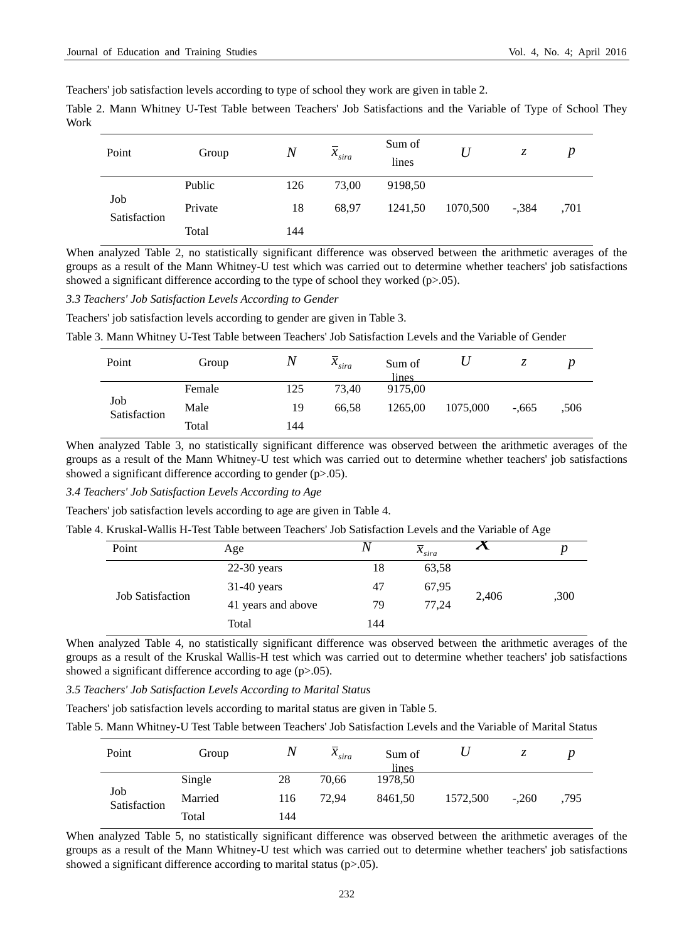Teachers' job satisfaction levels according to type of school they work are given in table 2.

Table 2. Mann Whitney U-Test Table between Teachers' Job Satisfactions and the Variable of Type of School They Work

| Point               | Group   | $\boldsymbol{N}$ | $x_{sira}$ | Sum of<br>lines |          | Z.      | p    |
|---------------------|---------|------------------|------------|-----------------|----------|---------|------|
|                     | Public  | 126              | 73,00      | 9198,50         |          |         |      |
| Job<br>Satisfaction | Private | 18               | 68.97      | 1241,50         | 1070,500 | $-.384$ | .701 |
|                     | Total   | 144              |            |                 |          |         |      |

When analyzed Table 2, no statistically significant difference was observed between the arithmetic averages of the groups as a result of the Mann Whitney-U test which was carried out to determine whether teachers' job satisfactions showed a significant difference according to the type of school they worked  $(p>0.05)$ .

*3.3 Teachers' Job Satisfaction Levels According to Gender*

Teachers' job satisfaction levels according to gender are given in Table 3.

Table 3. Mann Whitney U-Test Table between Teachers' Job Satisfaction Levels and the Variable of Gender

| Point               | Group  | $\boldsymbol{N}$ | $x_{sira}$ | Sum of<br>lines |          | ۸.      |      |
|---------------------|--------|------------------|------------|-----------------|----------|---------|------|
|                     | Female | 125              | 73.40      | 9175,00         |          |         |      |
| Job<br>Satisfaction | Male   | 19               | 66.58      | 1265,00         | 1075,000 | $-.665$ | .506 |
|                     | Total  | 144              |            |                 |          |         |      |

When analyzed Table 3, no statistically significant difference was observed between the arithmetic averages of the groups as a result of the Mann Whitney-U test which was carried out to determine whether teachers' job satisfactions showed a significant difference according to gender (p>.05).

*3.4 Teachers' Job Satisfaction Levels According to Age*

Teachers' job satisfaction levels according to age are given in Table 4.

| Table 4. Kruskal-Wallis H-Test Table between Teachers' Job Satisfaction Levels and the Variable of Age |                    |     |                       |                            |      |  |  |  |
|--------------------------------------------------------------------------------------------------------|--------------------|-----|-----------------------|----------------------------|------|--|--|--|
| Point                                                                                                  | Age                |     | $\overline{x}_{sira}$ | $\boldsymbol{\mathcal{N}}$ |      |  |  |  |
|                                                                                                        | $22-30$ years      | 18  | 63,58                 |                            |      |  |  |  |
| <b>Job Satisfaction</b>                                                                                | $31-40$ years      | 47  | 67,95                 | 2,406                      |      |  |  |  |
|                                                                                                        | 41 years and above | 79  | 77,24                 |                            | ,300 |  |  |  |
|                                                                                                        | Total              | 144 |                       |                            |      |  |  |  |

When analyzed Table 4, no statistically significant difference was observed between the arithmetic averages of the groups as a result of the Kruskal Wallis-H test which was carried out to determine whether teachers' job satisfactions showed a significant difference according to age (p>.05).

*3.5 Teachers' Job Satisfaction Levels According to Marital Status*

Teachers' job satisfaction levels according to marital status are given in Table 5.

Table 5. Mann Whitney-U Test Table between Teachers' Job Satisfaction Levels and the Variable of Marital Status

| Point               | Group   | $\overline{N}$ | $x_{sira}$ | Sum of<br>lines |          | ́∼      |      |
|---------------------|---------|----------------|------------|-----------------|----------|---------|------|
|                     | Single  | 28             | 70.66      | 1978,50         |          |         |      |
| Job<br>Satisfaction | Married | 116            | 72.94      | 8461,50         | 1572,500 | $-.260$ | .795 |
|                     | Total   | 144            |            |                 |          |         |      |

When analyzed Table 5, no statistically significant difference was observed between the arithmetic averages of the groups as a result of the Mann Whitney-U test which was carried out to determine whether teachers' job satisfactions showed a significant difference according to marital status (p>.05).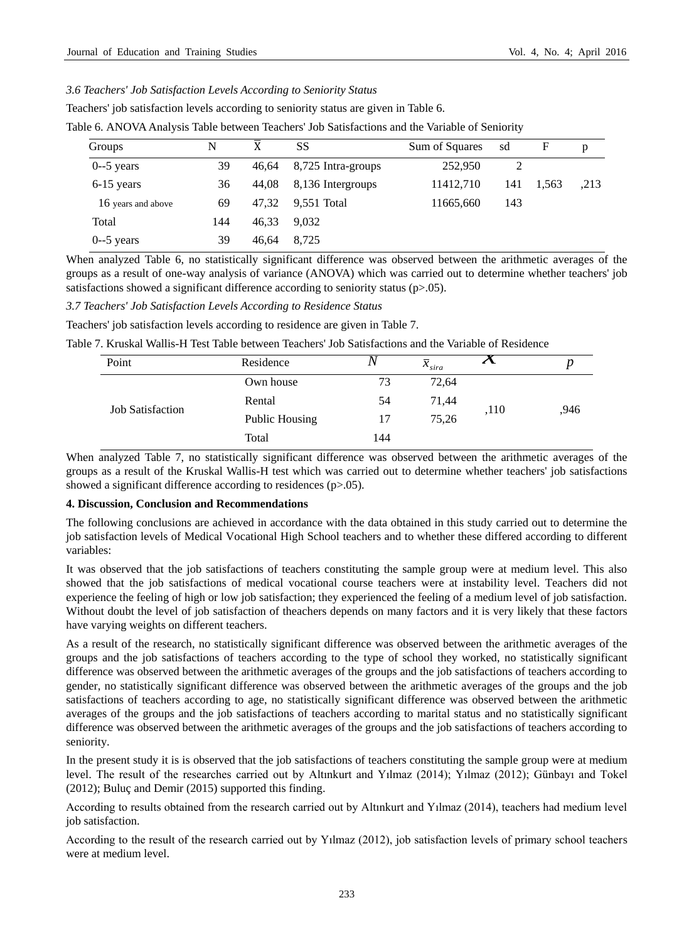### *3.6 Teachers' Job Satisfaction Levels According to Seniority Status*

Teachers' job satisfaction levels according to seniority status are given in Table 6.

|  |  |  | Table 6. ANOVA Analysis Table between Teachers' Job Satisfactions and the Variable of Seniority |
|--|--|--|-------------------------------------------------------------------------------------------------|
|--|--|--|-------------------------------------------------------------------------------------------------|

| Groups             | N   | X     | SS                 | Sum of Squares | sd  | F     | p    |
|--------------------|-----|-------|--------------------|----------------|-----|-------|------|
| $0-5$ years        | 39  | 46,64 | 8,725 Intra-groups | 252,950        | 2   |       |      |
| $6-15$ years       | 36  | 44,08 | 8,136 Intergroups  | 11412.710      | 141 | 1,563 | .213 |
| 16 years and above | 69  | 47.32 | 9,551 Total        | 11665,660      | 143 |       |      |
| Total              | 144 | 46.33 | 9.032              |                |     |       |      |
| $0-5$ years        | 39  | 46.64 | 8.725              |                |     |       |      |

When analyzed Table 6, no statistically significant difference was observed between the arithmetic averages of the groups as a result of one-way analysis of variance (ANOVA) which was carried out to determine whether teachers' job satisfactions showed a significant difference according to seniority status (p>.05).

*3.7 Teachers' Job Satisfaction Levels According to Residence Status*

Teachers' job satisfaction levels according to residence are given in Table 7.

| Table 7. Kruskal Wallis-H Test Table between Teachers' Job Satisfactions and the Variable of Residence |                |     |                       |                            |      |  |  |  |
|--------------------------------------------------------------------------------------------------------|----------------|-----|-----------------------|----------------------------|------|--|--|--|
|                                                                                                        | Residence      |     | $\overline{X}_{sira}$ | $\boldsymbol{\mathcal{N}}$ |      |  |  |  |
| <b>Job Satisfaction</b>                                                                                | Own house      | 73  | 72.64                 |                            |      |  |  |  |
|                                                                                                        | Rental         | 54  | 71.44                 |                            | .946 |  |  |  |
|                                                                                                        | Public Housing | 17  | 75,26                 |                            |      |  |  |  |
|                                                                                                        | Total          | 144 |                       |                            |      |  |  |  |
|                                                                                                        |                |     |                       |                            | ,110 |  |  |  |

When analyzed Table 7, no statistically significant difference was observed between the arithmetic averages of the groups as a result of the Kruskal Wallis-H test which was carried out to determine whether teachers' job satisfactions showed a significant difference according to residences (p>.05).

#### **4. Discussion, Conclusion and Recommendations**

The following conclusions are achieved in accordance with the data obtained in this study carried out to determine the job satisfaction levels of Medical Vocational High School teachers and to whether these differed according to different variables:

It was observed that the job satisfactions of teachers constituting the sample group were at medium level. This also showed that the job satisfactions of medical vocational course teachers were at instability level. Teachers did not experience the feeling of high or low job satisfaction; they experienced the feeling of a medium level of job satisfaction. Without doubt the level of job satisfaction of theachers depends on many factors and it is very likely that these factors have varying weights on different teachers.

As a result of the research, no statistically significant difference was observed between the arithmetic averages of the groups and the job satisfactions of teachers according to the type of school they worked, no statistically significant difference was observed between the arithmetic averages of the groups and the job satisfactions of teachers according to gender, no statistically significant difference was observed between the arithmetic averages of the groups and the job satisfactions of teachers according to age, no statistically significant difference was observed between the arithmetic averages of the groups and the job satisfactions of teachers according to marital status and no statistically significant difference was observed between the arithmetic averages of the groups and the job satisfactions of teachers according to seniority.

In the present study it is is observed that the job satisfactions of teachers constituting the sample group were at medium level. The result of the researches carried out by Altınkurt and Yılmaz (2014); Yılmaz (2012); Günbayı and Tokel (2012); Buluç and Demir (2015) supported this finding.

According to results obtained from the research carried out by Altınkurt and Yılmaz (2014), teachers had medium level job satisfaction.

According to the result of the research carried out by Yılmaz (2012), job satisfaction levels of primary school teachers were at medium level.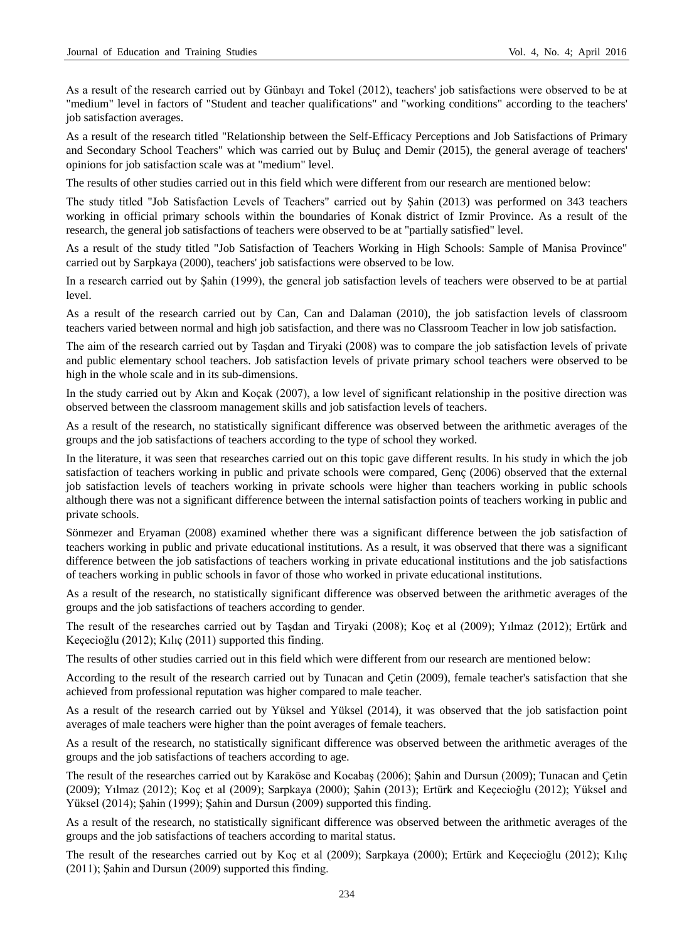As a result of the research carried out by Günbayı and Tokel (2012), teachers' job satisfactions were observed to be at "medium" level in factors of "Student and teacher qualifications" and "working conditions" according to the teachers' job satisfaction averages.

As a result of the research titled "Relationship between the Self-Efficacy Perceptions and Job Satisfactions of Primary and Secondary School Teachers" which was carried out by Buluç and Demir (2015), the general average of teachers' opinions for job satisfaction scale was at "medium" level.

The results of other studies carried out in this field which were different from our research are mentioned below:

The study titled "Job Satisfaction Levels of Teachers" carried out by Şahin (2013) was performed on 343 teachers working in official primary schools within the boundaries of Konak district of Izmir Province. As a result of the research, the general job satisfactions of teachers were observed to be at "partially satisfied" level.

As a result of the study titled "Job Satisfaction of Teachers Working in High Schools: Sample of Manisa Province" carried out by Sarpkaya (2000), teachers' job satisfactions were observed to be low.

In a research carried out by Şahin (1999), the general job satisfaction levels of teachers were observed to be at partial level.

As a result of the research carried out by Can, Can and Dalaman (2010), the job satisfaction levels of classroom teachers varied between normal and high job satisfaction, and there was no Classroom Teacher in low job satisfaction.

The aim of the research carried out by Taşdan and Tiryaki (2008) was to compare the job satisfaction levels of private and public elementary school teachers. Job satisfaction levels of private primary school teachers were observed to be high in the whole scale and in its sub-dimensions.

In the study carried out by Akın and Koçak (2007), a low level of significant relationship in the positive direction was observed between the classroom management skills and job satisfaction levels of teachers.

As a result of the research, no statistically significant difference was observed between the arithmetic averages of the groups and the job satisfactions of teachers according to the type of school they worked.

In the literature, it was seen that researches carried out on this topic gave different results. In his study in which the job satisfaction of teachers working in public and private schools were compared, Genç (2006) observed that the external job satisfaction levels of teachers working in private schools were higher than teachers working in public schools although there was not a significant difference between the internal satisfaction points of teachers working in public and private schools.

Sönmezer and Eryaman (2008) examined whether there was a significant difference between the job satisfaction of teachers working in public and private educational institutions. As a result, it was observed that there was a significant difference between the job satisfactions of teachers working in private educational institutions and the job satisfactions of teachers working in public schools in favor of those who worked in private educational institutions.

As a result of the research, no statistically significant difference was observed between the arithmetic averages of the groups and the job satisfactions of teachers according to gender.

The result of the researches carried out by Taşdan and Tiryaki (2008); Koç et al (2009); Yılmaz (2012); Ertürk and Keçecioğlu (2012); Kılıç (2011) supported this finding.

The results of other studies carried out in this field which were different from our research are mentioned below:

According to the result of the research carried out by Tunacan and Çetin (2009), female teacher's satisfaction that she achieved from professional reputation was higher compared to male teacher.

As a result of the research carried out by Yüksel and Yüksel (2014), it was observed that the job satisfaction point averages of male teachers were higher than the point averages of female teachers.

As a result of the research, no statistically significant difference was observed between the arithmetic averages of the groups and the job satisfactions of teachers according to age.

The result of the researches carried out by Karaköse and Kocabaş (2006); Şahin and Dursun (2009); Tunacan and Çetin (2009); Yılmaz (2012); Koç et al (2009); Sarpkaya (2000); Şahin (2013); Ertürk and Keçecioğlu (2012); Yüksel and Yüksel (2014); Şahin (1999); Şahin and Dursun (2009) supported this finding.

As a result of the research, no statistically significant difference was observed between the arithmetic averages of the groups and the job satisfactions of teachers according to marital status.

The result of the researches carried out by Koç et al (2009); Sarpkaya (2000); Ertürk and Keçecioğlu (2012); Kılıç (2011); Şahin and Dursun (2009) supported this finding.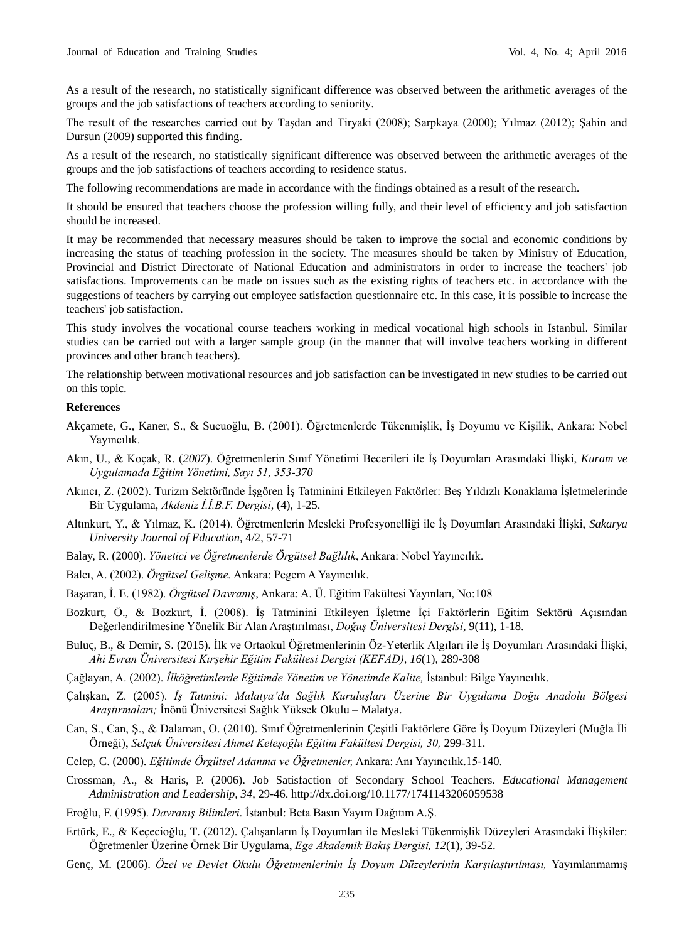As a result of the research, no statistically significant difference was observed between the arithmetic averages of the groups and the job satisfactions of teachers according to seniority.

The result of the researches carried out by Taşdan and Tiryaki (2008); Sarpkaya (2000); Yılmaz (2012); Şahin and Dursun (2009) supported this finding.

As a result of the research, no statistically significant difference was observed between the arithmetic averages of the groups and the job satisfactions of teachers according to residence status.

The following recommendations are made in accordance with the findings obtained as a result of the research.

It should be ensured that teachers choose the profession willing fully, and their level of efficiency and job satisfaction should be increased.

It may be recommended that necessary measures should be taken to improve the social and economic conditions by increasing the status of teaching profession in the society. The measures should be taken by Ministry of Education, Provincial and District Directorate of National Education and administrators in order to increase the teachers' job satisfactions. Improvements can be made on issues such as the existing rights of teachers etc. in accordance with the suggestions of teachers by carrying out employee satisfaction questionnaire etc. In this case, it is possible to increase the teachers' job satisfaction.

This study involves the vocational course teachers working in medical vocational high schools in Istanbul. Similar studies can be carried out with a larger sample group (in the manner that will involve teachers working in different provinces and other branch teachers).

The relationship between motivational resources and job satisfaction can be investigated in new studies to be carried out on this topic.

#### **References**

- Akçamete, G., Kaner, S., & Sucuoğlu, B. (2001). Öğretmenlerde Tükenmişlik, İş Doyumu ve Kişilik, Ankara: Nobel Yayıncılık.
- Akın, U., & Koçak, R. (*2007*). Öğretmenlerin Sınıf Yönetimi Becerileri ile İş Doyumları Arasındaki İlişki, *Kuram ve Uygulamada Eğitim Yönetimi, Sayı 51, 353-370*
- Akıncı, Z. (2002). Turizm Sektöründe İşgören İş Tatminini Etkileyen Faktörler: Beş Yıldızlı Konaklama İşletmelerinde Bir Uygulama, *Akdeniz İ.İ.B.F. Dergisi*, (4), 1-25.
- Altınkurt, Y., & Yılmaz, K. (2014). Öğretmenlerin Mesleki Profesyonelliği ile İş Doyumları Arasındaki İlişki, *Sakarya University Journal of Education*, 4/2, 57-71
- Balay, R. (2000). *Yönetici ve Öğretmenlerde Örgütsel Bağlılık*, Ankara: Nobel Yayıncılık.
- Balcı, A. (2002). *Örgütsel Gelişme.* Ankara: Pegem A Yayıncılık.
- Başaran, İ. E. (1982). *Örgütsel Davranış*, Ankara: A. Ü. Eğitim Fakültesi Yayınları, No:108
- Bozkurt, Ö., & Bozkurt, İ. (2008). İş Tatminini Etkileyen İşletme İçi Faktörlerin Eğitim Sektörü Açısından Değerlendirilmesine Yönelik Bir Alan Araştırılması, *Doğuş Üniversitesi Dergisi*, 9(11), 1-18.
- Buluç, B., & Demir, S. (2015). İlk ve Ortaokul Öğretmenlerinin Öz-Yeterlik Algıları ile İş Doyumları Arasındaki İlişki, *Ahi Evran Üniversitesi Kırşehir Eğitim Fakültesi Dergisi (KEFAD), 16*(1), 289-308
- Çağlayan, A. (2002). *İlköğretimlerde Eğitimde Yönetim ve Yönetimde Kalite,* İstanbul: Bilge Yayıncılık.
- Çalışkan, Z. (2005). *İş Tatmini: Malatya'da Sağlık Kuruluşları Üzerine Bir Uygulama Doğu Anadolu Bölgesi Araştırmaları;* İnönü Üniversitesi Sağlık Yüksek Okulu – Malatya.
- Can, S., Can, Ş., & Dalaman, O. (2010). Sınıf Öğretmenlerinin Çeşitli Faktörlere Göre İş Doyum Düzeyleri (Muğla İli Örneği), *Selçuk Üniversitesi Ahmet Keleşoğlu Eğitim Fakültesi Dergisi, 30,* 299-311.
- Celep, C. (2000). *Eğitimde Örgütsel Adanma ve Öğretmenler,* Ankara: Anı Yayıncılık.15-140.
- Crossman, A., & Haris, P. (2006). Job Satisfaction of Secondary School Teachers. *Educational Management Administration and Leadership, 34*, 29-46. http://dx.doi.org/10.1177/1741143206059538
- Eroğlu, F. (1995). *Davranış Bilimleri*. İstanbul: Beta Basın Yayım Dağıtım A.Ş.
- Ertürk, E., & Keçecioğlu, T. (2012). Çalışanların İş Doyumları ile Mesleki Tükenmişlik Düzeyleri Arasındaki İlişkiler: Öğretmenler Üzerine Örnek Bir Uygulama, *Ege Akademik Bakış Dergisi, 12*(1), 39-52.
- Genç, M. (2006). *Özel ve Devlet Okulu Öğretmenlerinin İş Doyum Düzeylerinin Karşılaştırılması,* Yayımlanmamış